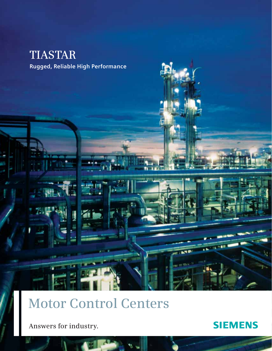# **TIASTAR**

**Rugged, Reliable High Performance** 

伯

# **Motor Control Centers**

**Answers for industry.**

## **SIEMENS**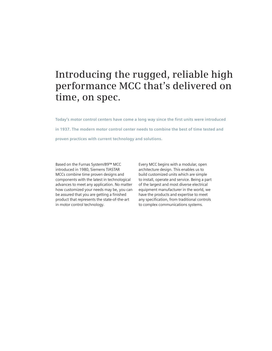## **Introducing the rugged, reliable high performance MCC that's delivered on time, on spec.**

**Today's motor control centers have come a long way since the first units were introduced in 1937. The modern motor control center needs to combine the best of time tested and proven practices with current technology and solutions.**

Based on the Furnas System/89™ MCC introduced in 1980, Siemens TIASTAR MCCs combine time proven designs and components with the latest in technological advances to meet any application. No matter how customized your needs may be, you can be assured that you are getting a finished product that represents the state-of-the-art in motor control technology.

Every MCC begins with a modular, open architecture design. This enables us to build customized units which are simple to install, operate and service. Being a part of the largest and most diverse electrical equipment manufacturer in the world, we have the products and expertise to meet any specification, from traditional controls to complex communications systems.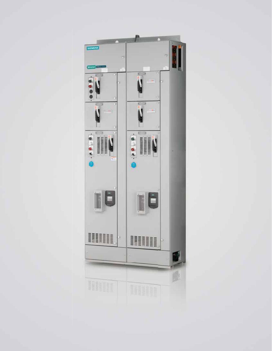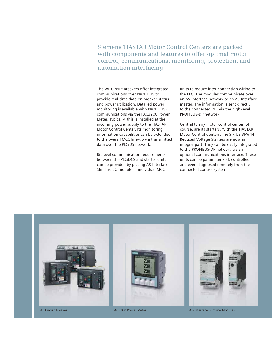**Siemens TIASTAR Motor Control Centers are packed with components and features to offer optimal motor control, communications, monitoring, protection, and automation interfacing.**

The WL Circuit Breakers offer integrated communications over PROFIBUS to provide real-time data on breaker status and power utilization. Detailed power monitoring is available with PROFIBUS-DP communications via the PAC3200 Power Meter. Typically, this is installed at the incoming power supply to the TIASTAR Motor Control Center. Its monitoring information capabilities can be extended to the overall MCC line-up via transmitted data over the PLC/DS network.

Bit level communication requirements between the PLC/DCS and starter units can be provided by placing AS-Interface Slimline I/O module in individual MCC

units to reduce inter-connection wiring to the PLC. The modules communicate over an AS-Interface network to an AS-Interface master. The information is sent directly to the connected PLC via the high-level PROFIBUS-DP network.

Central to any motor control center, of course, are its starters. With the TIASTAR Motor Control Centers, the SIRIUS 3RW44 Reduced Voltage Starters are now an integral part. They can be easily integrated to the PROFIBUS-DP network via an optional communications interface. These units can be parameterized, controlled and even diagnosed remotely from the connected control system.

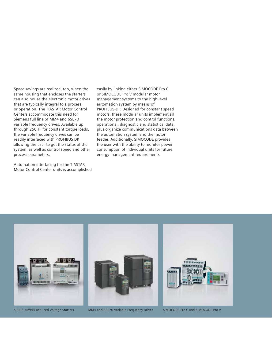Space savings are realized, too, when the same housing that encloses the starters can also house the electronic motor drives that are typically integral to a process or operation. The TIASTAR Motor Control Centers accommodate this need for Siemens full line of MM4 and 6SE70 variable frequency drives. Available up through 250HP for constant torque loads, the variable frequency drives can be readily interfaced with PROFIBUS DP allowing the user to get the status of the system, as well as control speed and other process parameters.

Automation interfacing for the TIASTAR Motor Control Center units is accomplished easily by linking either SIMOCODE Pro C or SIMOCODE Pro V modular motor management systems to the high-level automation system by means of PROFIBUS-DP. Designed for constant speed motors, these modular units implement all the motor protection and control functions, operational, diagnostic and statistical data, plus organize communications data between the automation system and the motor feeder. Additionally, SIMOCODE provides the user with the ability to monitor power consumption of individual units for future energy management requirements.

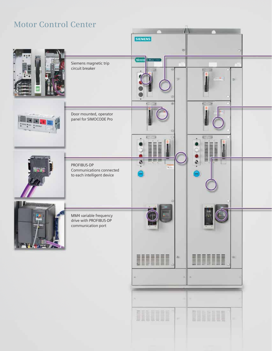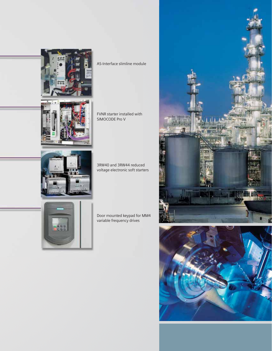

AS-Interface slimline module



FVNR starter installed with SIMOCODE Pro V



3RW40 and 3RW44 reduced voltage electronic soft starters



Door mounted keypad for MM4 variable frequency drives



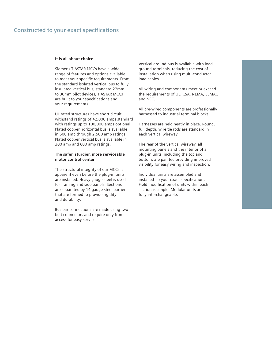### **Constructed to your exact specifications**

#### **It is all about choice**

Siemens TIASTAR MCCs have a wide range of features and options available to meet your specific requirements. From the standard isolated vertical bus to fully insulated vertical bus, standard 22mm to 30mm pilot devices, TIASTAR MCCs are built to your specifications and your requirements.

UL rated structures have short circuit withstand ratings of 42,000 amps standard with ratings up to 100,000 amps optional. Plated copper horizontal bus is available in 600 amp through 2,500 amp ratings. Plated copper vertical bus is available in 300 amp and 600 amp ratings.

#### **The safer, sturdier, more serviceable motor control center**

The structural integrity of our MCCs is apparent even before the plug-in units are installed. Heavy gauge steel is used for framing and side panels. Sections are separated by 14 gauge steel barriers that are formed to provide rigidity and durability.

Bus bar connections are made using two bolt connectors and require only front access for easy service.

Vertical ground bus is available with load ground terminals, reducing the cost of installation when using multi-conductor load cables.

All wiring and components meet or exceed the requirements of UL, CSA, NEMA, EEMAC and NEC.

All pre-wired components are professionally harnessed to industrial terminal blocks.

Harnesses are held neatly in place. Round, full depth, wire tie rods are standard in each vertical wireway.

The rear of the vertical wireway, all mounting panels and the interior of all plug-in units, including the top and bottom, are painted providing improved visibility for easy wiring and inspection.

Individual units are assembled and installed to your exact specifications. Field modification of units within each section is simple. Modular units are fully interchangeable.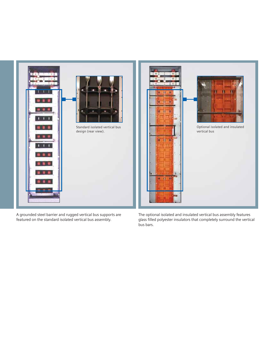

A grounded steel barrier and rugged vertical bus supports are featured on the standard isolated vertical bus assembly.

The optional isolated and insulated vertical bus assembly features glass filled polyester insulators that completely surround the vertical bus bars.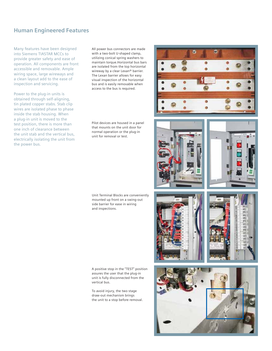### **Human Engineered Features**

Many features have been designed into Siemens TIASTAR MCCs to provide greater safety and ease of operation. All components are front accessible and removable. Ample wiring space, large wireways and a clean layout add to the ease of inspection and servicing.

Power to the plug-in units is obtained through self-aligning, tin plated copper stabs. Stab clip wires are isolated phase to phase inside the stab housing. When a plug-in unit is moved to the test position, there is more than one inch of clearance between the unit stab and the vertical bus, electrically isolating the unit from the power bus.

All power bus connectors are made with a two-bolt U-shaped clamp, utilizing conical spring washers to maintain torque.Horizontal bus bars are isolated from the top horizontal wireway by a clear Lexan® barrier. The Lexan barrier allows for easy visual inspection of the horizontal bus and is easily removable when access to the bus is required.

Pilot devices are housed in a panel that mounts on the unit door for normal operation or the plug-in unit for removal or test.



a





Unit Terminal Blocks are conveniently mounted up front on a swing-out side barrier for ease in wiring and inspections.

A positive stop in the "TEST" position assures the user that the plug-in unit is fully disconnected from the vertical bus.

To avoid injury, the two stage draw-out mechanism brings the unit to a stop before removal.

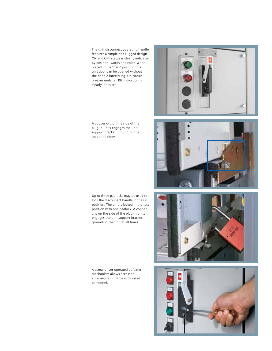The unit disconnect operating handle features a simple and rugged design. ON and OFF status is clearly indicated by position, words and color. When placed in the "park" position, the unit door can be opened without the handle interfering. On circuit breaker units, a TRIP indication is clearly indicated.

A copper clip on the side of the plug-in units engages the unit support bracket, grounding the unit at all times



Up to three padlocks may be used to lock the disconnect handle in the OFF position. The unit is locked in the test position with one padlock. A copper clip on the side of the plug-in units engages the unit support bracket, grounding the unit at all times.

A screw driver operated defeater mechanism allows access to an energized unit by authorized personnel.